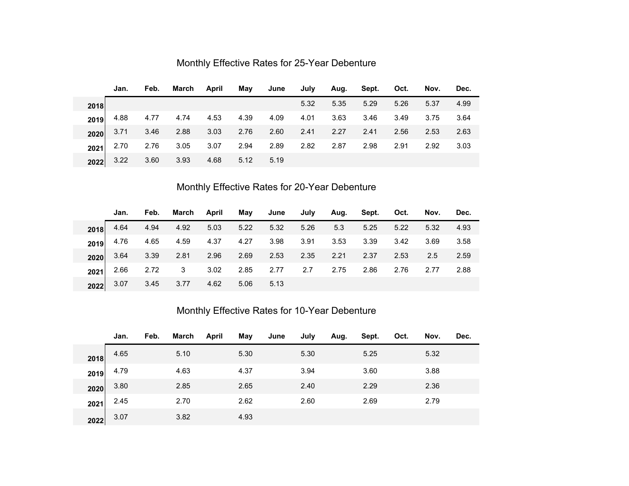|      | Jan.      | Feb.             | March | April | May  | June | July | Aug. | Sept. | Oct. | Nov. | Dec. |
|------|-----------|------------------|-------|-------|------|------|------|------|-------|------|------|------|
| 2018 |           |                  |       |       |      |      | 5.32 | 5.35 | 5.29  | 5.26 | 5.37 | 4.99 |
| 2019 |           | 4.88  4.77  4.74 |       | 4.53  | 4.39 | 4.09 | 4.01 | 3.63 | 3.46  | 3.49 | 3.75 | 3.64 |
| 2020 | 3.71 3.46 |                  | 2.88  | 3.03  | 2.76 | 2.60 | 2.41 | 2.27 | 2.41  | 2.56 | 2.53 | 2.63 |
| 2021 | 2.70      | 2.76             | 3.05  | 3.07  | 2.94 | 2.89 | 2.82 | 2.87 | 2.98  | 2.91 | 2.92 | 3.03 |
| 2022 | 3.22      | 3.60             | 3.93  | 4.68  | 5.12 | 5.19 |      |      |       |      |      |      |

## Monthly Effective Rates for 25-Year Debenture

## Monthly Effective Rates for 20-Year Debenture

|      | Jan.      | Feb.             |                         | March April |      | May June July |           |      | Aug. Sept. Oct. |      | Nov. | Dec. |
|------|-----------|------------------|-------------------------|-------------|------|---------------|-----------|------|-----------------|------|------|------|
| 2018 | 4.64 4.94 |                  | 4.92                    | 5.03        | 5.22 | 5.32          | 5.26      | 5.3  | 5.25            | 5.22 | 5.32 | 4.93 |
| 2019 |           | 4.76  4.65  4.59 |                         | 4.37 4.27   |      | 3.98 3.91     |           | 3.53 | 3.39            | 3.42 | 3.69 | 3.58 |
| 2020 |           | 3.64 3.39 2.81   |                         | 2.96        | 2.69 | 2.53          | 2.35 2.21 |      | 2.37            | 2.53 | 2.5  | 2.59 |
| 2021 | 2.66      | 2.72             | $\overline{\mathbf{3}}$ | 3.02        | 2.85 | 2.77          | 2.7       | 2.75 | 2.86            | 2.76 | 2.77 | 2.88 |
| 2022 | 3.07 3.45 |                  | 3.77                    | 4.62        | 5.06 | 5.13          |           |      |                 |      |      |      |

## Monthly Effective Rates for 10-Year Debenture

|      | Jan. | Feb. | March | April | May  | June | July | Aug. | Sept. | Oct. | Nov. | Dec. |
|------|------|------|-------|-------|------|------|------|------|-------|------|------|------|
| 2018 | 4.65 |      | 5.10  |       | 5.30 |      | 5.30 |      | 5.25  |      | 5.32 |      |
| 2019 | 4.79 |      | 4.63  |       | 4.37 |      | 3.94 |      | 3.60  |      | 3.88 |      |
| 2020 | 3.80 |      | 2.85  |       | 2.65 |      | 2.40 |      | 2.29  |      | 2.36 |      |
| 2021 | 2.45 |      | 2.70  |       | 2.62 |      | 2.60 |      | 2.69  |      | 2.79 |      |
| 2022 | 3.07 |      | 3.82  |       | 4.93 |      |      |      |       |      |      |      |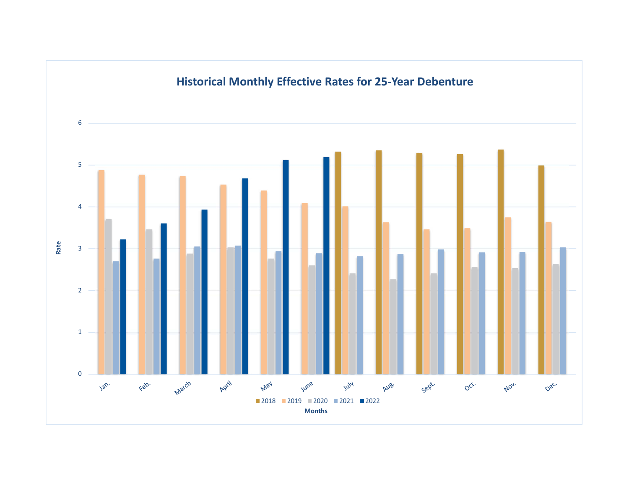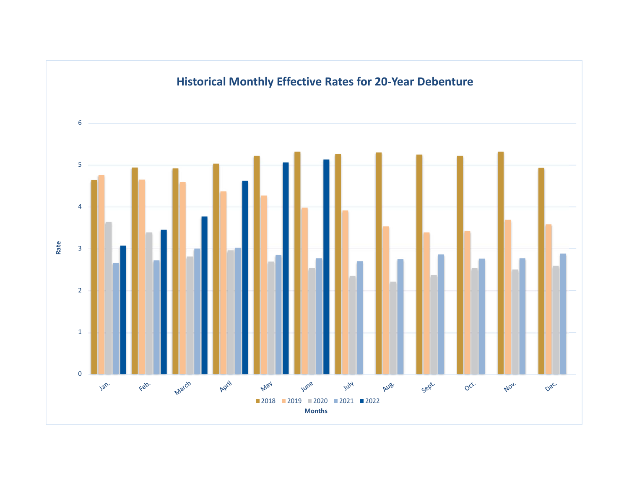